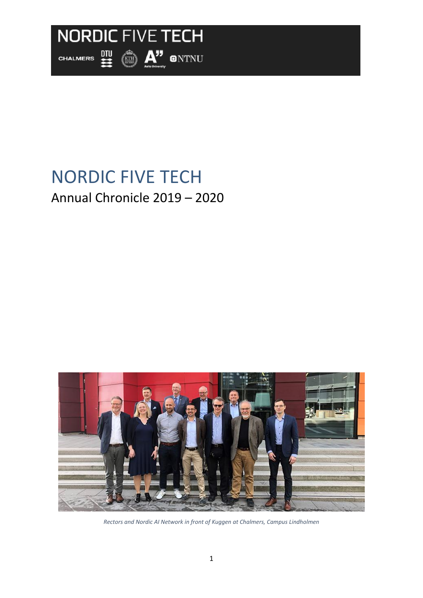

# NORDIC FIVE TECH Annual Chronicle 2019 – 2020



*Rectors and Nordic AI Network in front of Kuggen at Chalmers, Campus Lindholmen*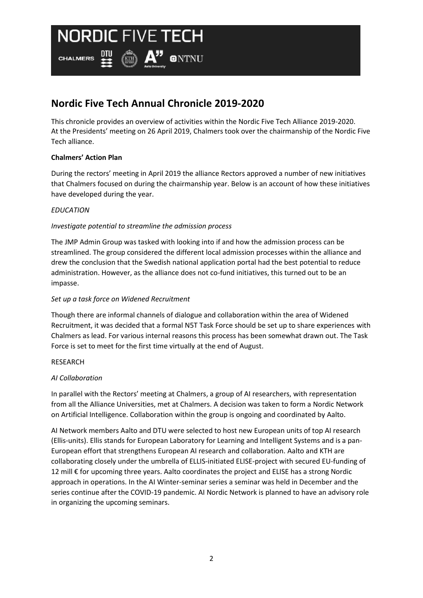四

**CHALMERS** 

# **Nordic Five Tech Annual Chronicle 2019-2020**

 $\left(\mathbb{R}\right)$   $\mathsf{A}$ " ontnu

This chronicle provides an overview of activities within the Nordic Five Tech Alliance 2019-2020. At the Presidents' meeting on 26 April 2019, Chalmers took over the chairmanship of the Nordic Five Tech alliance.

### **Chalmers' Action Plan**

During the rectors' meeting in April 2019 the alliance Rectors approved a number of new initiatives that Chalmers focused on during the chairmanship year. Below is an account of how these initiatives have developed during the year.

### *EDUCATION*

### *Investigate potential to streamline the admission process*

The JMP Admin Group was tasked with looking into if and how the admission process can be streamlined. The group considered the different local admission processes within the alliance and drew the conclusion that the Swedish national application portal had the best potential to reduce administration. However, as the alliance does not co-fund initiatives, this turned out to be an impasse.

#### *Set up a task force on Widened Recruitment*

Though there are informal channels of dialogue and collaboration within the area of Widened Recruitment, it was decided that a formal N5T Task Force should be set up to share experiences with Chalmers as lead. For various internal reasons this process has been somewhat drawn out. The Task Force is set to meet for the first time virtually at the end of August.

#### RESEARCH

#### *AI Collaboration*

In parallel with the Rectors' meeting at Chalmers, a group of AI researchers, with representation from all the Alliance Universities, met at Chalmers. A decision was taken to form a Nordic Network on Artificial Intelligence. Collaboration within the group is ongoing and coordinated by Aalto.

AI Network members Aalto and DTU were selected to host new European units of top AI research (Ellis-units). Ellis stands for European Laboratory for Learning and Intelligent Systems and is a pan-European effort that strengthens European AI research and collaboration. Aalto and KTH are collaborating closely under the umbrella of ELLIS-initiated ELISE-project with secured EU-funding of 12 mill € for upcoming three years. Aalto coordinates the project and ELISE has a strong Nordic approach in operations. In the AI Winter-seminar series a seminar was held in December and the series continue after the COVID-19 pandemic. AI Nordic Network is planned to have an advisory role in organizing the upcoming seminars.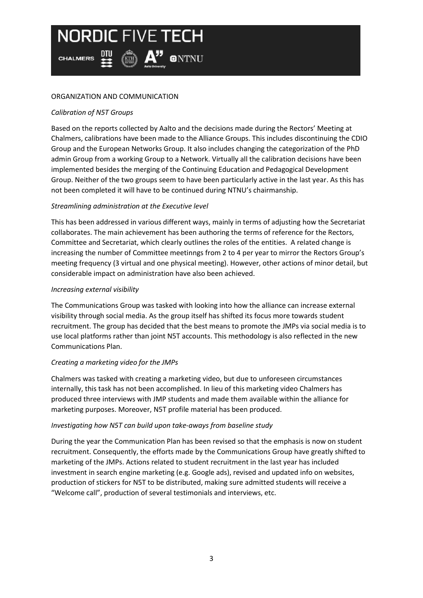$\left(\mathbb{R}\right)$   $\mathsf{A}$  on  $\mathsf{N}\mathsf{N}\mathsf{U}$ **CHALMERS** 

## ORGANIZATION AND COMMUNICATION

# *Calibration of N5T Groups*

Based on the reports collected by Aalto and the decisions made during the Rectors' Meeting at Chalmers, calibrations have been made to the Alliance Groups. This includes discontinuing the CDIO Group and the European Networks Group. It also includes changing the categorization of the PhD admin Group from a working Group to a Network. Virtually all the calibration decisions have been implemented besides the merging of the Continuing Education and Pedagogical Development Group. Neither of the two groups seem to have been particularly active in the last year. As this has not been completed it will have to be continued during NTNU's chairmanship.

## *Streamlining administration at the Executive level*

This has been addressed in various different ways, mainly in terms of adjusting how the Secretariat collaborates. The main achievement has been authoring the terms of reference for the Rectors, Committee and Secretariat, which clearly outlines the roles of the entities. A related change is increasing the number of Committee meetinngs from 2 to 4 per year to mirror the Rectors Group's meeting frequency (3 virtual and one physical meeting). However, other actions of minor detail, but considerable impact on administration have also been achieved.

## *Increasing external visibility*

The Communications Group was tasked with looking into how the alliance can increase external visibility through social media. As the group itself has shifted its focus more towards student recruitment. The group has decided that the best means to promote the JMPs via social media is to use local platforms rather than joint N5T accounts. This methodology is also reflected in the new Communications Plan.

# *Creating a marketing video for the JMPs*

Chalmers was tasked with creating a marketing video, but due to unforeseen circumstances internally, this task has not been accomplished. In lieu of this marketing video Chalmers has produced three interviews with JMP students and made them available within the alliance for marketing purposes. Moreover, N5T profile material has been produced.

## *Investigating how N5T can build upon take-aways from baseline study*

During the year the Communication Plan has been revised so that the emphasis is now on student recruitment. Consequently, the efforts made by the Communications Group have greatly shifted to marketing of the JMPs. Actions related to student recruitment in the last year has included investment in search engine marketing (e.g. Google ads), revised and updated info on websites, production of stickers for N5T to be distributed, making sure admitted students will receive a "Welcome call", production of several testimonials and interviews, etc.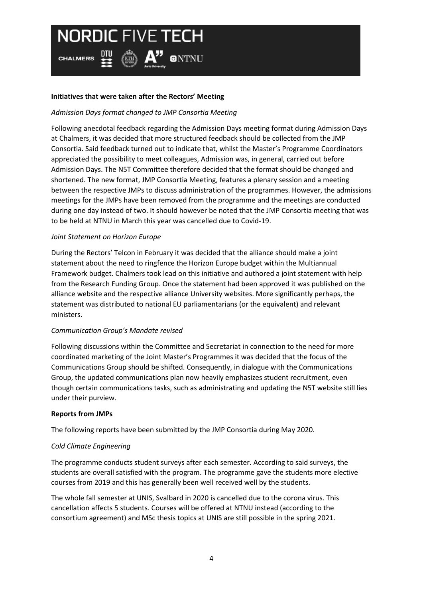$\left(\mathbb{R}\right)$   $\mathsf{A}$ <sup>"</sup> ontnu **CHALMERS** 

## **Initiatives that were taken after the Rectors' Meeting**

# *Admission Days format changed to JMP Consortia Meeting*

Following anecdotal feedback regarding the Admission Days meeting format during Admission Days at Chalmers, it was decided that more structured feedback should be collected from the JMP Consortia. Said feedback turned out to indicate that, whilst the Master's Programme Coordinators appreciated the possibility to meet colleagues, Admission was, in general, carried out before Admission Days. The N5T Committee therefore decided that the format should be changed and shortened. The new format, JMP Consortia Meeting, features a plenary session and a meeting between the respective JMPs to discuss administration of the programmes. However, the admissions meetings for the JMPs have been removed from the programme and the meetings are conducted during one day instead of two. It should however be noted that the JMP Consortia meeting that was to be held at NTNU in March this year was cancelled due to Covid-19.

## *Joint Statement on Horizon Europe*

During the Rectors' Telcon in February it was decided that the alliance should make a joint statement about the need to ringfence the Horizon Europe budget within the Multiannual Framework budget. Chalmers took lead on this initiative and authored a joint statement with help from the Research Funding Group. Once the statement had been approved it was published on the alliance website and the respective alliance University websites. More significantly perhaps, the statement was distributed to national EU parliamentarians (or the equivalent) and relevant ministers.

## *Communication Group's Mandate revised*

Following discussions within the Committee and Secretariat in connection to the need for more coordinated marketing of the Joint Master's Programmes it was decided that the focus of the Communications Group should be shifted. Consequently, in dialogue with the Communications Group, the updated communications plan now heavily emphasizes student recruitment, even though certain communications tasks, such as administrating and updating the N5T website still lies under their purview.

#### **Reports from JMPs**

The following reports have been submitted by the JMP Consortia during May 2020.

#### *Cold Climate Engineering*

The programme conducts student surveys after each semester. According to said surveys, the students are overall satisfied with the program. The programme gave the students more elective courses from 2019 and this has generally been well received well by the students.

The whole fall semester at UNIS, Svalbard in 2020 is cancelled due to the corona virus. This cancellation affects 5 students. Courses will be offered at NTNU instead (according to the consortium agreement) and MSc thesis topics at UNIS are still possible in the spring 2021.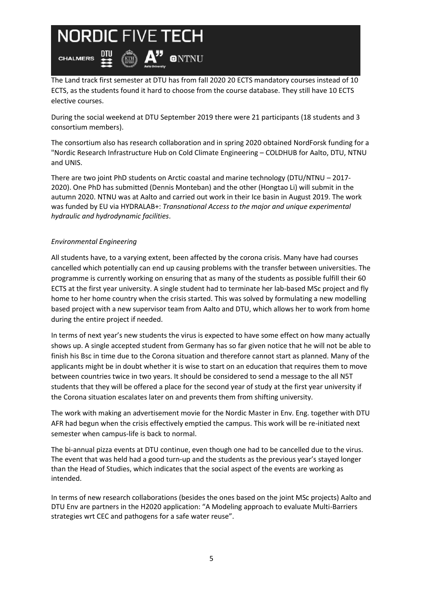$\left(\mathbb{R}\right)$   $\mathsf{A}$ <sup>"</sup> ontnu **CHALMERS** 

The Land track first semester at DTU has from fall 2020 20 ECTS mandatory courses instead of 10 ECTS, as the students found it hard to choose from the course database. They still have 10 ECTS elective courses.

During the social weekend at DTU September 2019 there were 21 participants (18 students and 3 consortium members).

The consortium also has research collaboration and in spring 2020 obtained NordForsk funding for a "Nordic Research Infrastructure Hub on Cold Climate Engineering – COLDHUB for Aalto, DTU, NTNU and UNIS.

There are two joint PhD students on Arctic coastal and marine technology (DTU/NTNU – 2017- 2020). One PhD has submitted (Dennis Monteban) and the other (Hongtao Li) will submit in the autumn 2020. NTNU was at Aalto and carried out work in their Ice basin in August 2019. The work was funded by EU via HYDRALAB+: *Transnational Access to the major and unique experimental hydraulic and hydrodynamic facilities*.

# *Environmental Engineering*

All students have, to a varying extent, been affected by the corona crisis. Many have had courses cancelled which potentially can end up causing problems with the transfer between universities. The programme is currently working on ensuring that as many of the students as possible fulfill their 60 ECTS at the first year university. A single student had to terminate her lab-based MSc project and fly home to her home country when the crisis started. This was solved by formulating a new modelling based project with a new supervisor team from Aalto and DTU, which allows her to work from home during the entire project if needed.

In terms of next year's new students the virus is expected to have some effect on how many actually shows up. A single accepted student from Germany has so far given notice that he will not be able to finish his Bsc in time due to the Corona situation and therefore cannot start as planned. Many of the applicants might be in doubt whether it is wise to start on an education that requires them to move between countries twice in two years. It should be considered to send a message to the all N5T students that they will be offered a place for the second year of study at the first year university if the Corona situation escalates later on and prevents them from shifting university.

The work with making an advertisement movie for the Nordic Master in Env. Eng. together with DTU AFR had begun when the crisis effectively emptied the campus. This work will be re-initiated next semester when campus-life is back to normal.

The bi-annual pizza events at DTU continue, even though one had to be cancelled due to the virus. The event that was held had a good turn-up and the students as the previous year's stayed longer than the Head of Studies, which indicates that the social aspect of the events are working as intended.

In terms of new research collaborations (besides the ones based on the joint MSc projects) Aalto and DTU Env are partners in the H2020 application: "A Modeling approach to evaluate Multi-Barriers strategies wrt CEC and pathogens for a safe water reuse".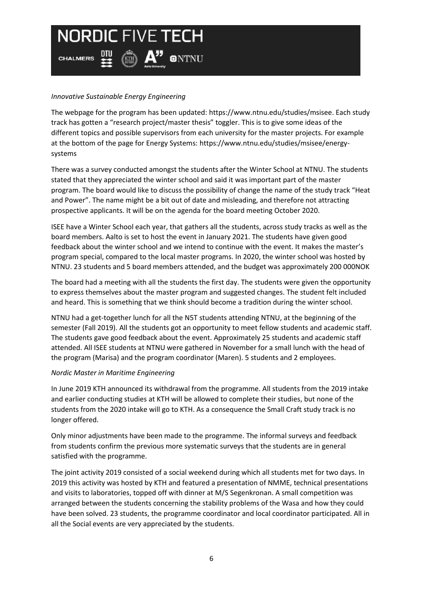$\left(\mathbb{R}\right)$   $\mathsf{A}$ <sup>"</sup> ontnu

*Innovative Sustainable Energy Engineering*

**CHALMERS** 

The webpage for the program has been updated: [https://www.ntnu.edu/studies/msisee.](https://www.ntnu.edu/studies/msisee) Each study track has gotten a "research project/master thesis" toggler. This is to give some ideas of the different topics and possible supervisors from each university for the master projects. For example at the bottom of the page for Energy Systems[: https://www.ntnu.edu/studies/msisee/energy](https://www.ntnu.edu/studies/msisee/energy-systems)[systems](https://www.ntnu.edu/studies/msisee/energy-systems) 

There was a survey conducted amongst the students after the Winter School at NTNU. The students stated that they appreciated the winter school and said it was important part of the master program. The board would like to discuss the possibility of change the name of the study track "Heat and Power". The name might be a bit out of date and misleading, and therefore not attracting prospective applicants. It will be on the agenda for the board meeting October 2020.

ISEE have a Winter School each year, that gathers all the students, across study tracks as well as the board members. Aalto is set to host the event in January 2021. The students have given good feedback about the winter school and we intend to continue with the event. It makes the master's program special, compared to the local master programs. In 2020, the winter school was hosted by NTNU. 23 students and 5 board members attended, and the budget was approximately 200 000NOK

The board had a meeting with all the students the first day. The students were given the opportunity to express themselves about the master program and suggested changes. The student felt included and heard. This is something that we think should become a tradition during the winter school.

NTNU had a get-together lunch for all the N5T students attending NTNU, at the beginning of the semester (Fall 2019). All the students got an opportunity to meet fellow students and academic staff. The students gave good feedback about the event. Approximately 25 students and academic staff attended. All ISEE students at NTNU were gathered in November for a small lunch with the head of the program (Marisa) and the program coordinator (Maren). 5 students and 2 employees.

#### *Nordic Master in Maritime Engineering*

In June 2019 KTH announced its withdrawal from the programme. All students from the 2019 intake and earlier conducting studies at KTH will be allowed to complete their studies, but none of the students from the 2020 intake will go to KTH. As a consequence the Small Craft study track is no longer offered.

Only minor adjustments have been made to the programme. The informal surveys and feedback from students confirm the previous more systematic surveys that the students are in general satisfied with the programme.

The joint activity 2019 consisted of a social weekend during which all students met for two days. In 2019 this activity was hosted by KTH and featured a presentation of NMME, technical presentations and visits to laboratories, topped off with dinner at M/S Segenkronan. A small competition was arranged between the students concerning the stability problems of the Wasa and how they could have been solved. 23 students, the programme coordinator and local coordinator participated. All in all the Social events are very appreciated by the students.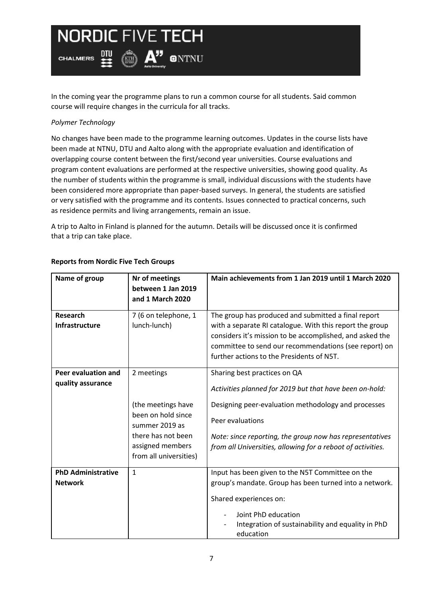$\binom{m}{11}$   $\mathbf{A}^{\prime\prime}$  on thu

四

In the coming year the programme plans to run a common course for all students. Said common course will require changes in the curricula for all tracks.

### *Polymer Technology*

**CHALMERS** 

No changes have been made to the programme learning outcomes. Updates in the course lists have been made at NTNU, DTU and Aalto along with the appropriate evaluation and identification of overlapping course content between the first/second year universities. Course evaluations and program content evaluations are performed at the respective universities, showing good quality. As the number of students within the programme is small, individual discussions with the students have been considered more appropriate than paper-based surveys. In general, the students are satisfied or very satisfied with the programme and its contents. Issues connected to practical concerns, such as residence permits and living arrangements, remain an issue.

A trip to Aalto in Finland is planned for the autumn. Details will be discussed once it is confirmed that a trip can take place.

| Name of group                               | Nr of meetings<br>between 1 Jan 2019<br>and 1 March 2020                                                                                     | Main achievements from 1 Jan 2019 until 1 March 2020                                                                                                                                                                                                                                          |
|---------------------------------------------|----------------------------------------------------------------------------------------------------------------------------------------------|-----------------------------------------------------------------------------------------------------------------------------------------------------------------------------------------------------------------------------------------------------------------------------------------------|
| <b>Research</b><br>Infrastructure           | 7 (6 on telephone, 1<br>lunch-lunch)                                                                                                         | The group has produced and submitted a final report<br>with a separate RI catalogue. With this report the group<br>considers it's mission to be accomplished, and asked the<br>committee to send our recommendations (see report) on<br>further actions to the Presidents of N5T.             |
| Peer evaluation and<br>quality assurance    | 2 meetings<br>(the meetings have<br>been on hold since<br>summer 2019 as<br>there has not been<br>assigned members<br>from all universities) | Sharing best practices on QA<br>Activities planned for 2019 but that have been on-hold:<br>Designing peer-evaluation methodology and processes<br>Peer evaluations<br>Note: since reporting, the group now has representatives<br>from all Universities, allowing for a reboot of activities. |
| <b>PhD Administrative</b><br><b>Network</b> | $\mathbf{1}$                                                                                                                                 | Input has been given to the N5T Committee on the<br>group's mandate. Group has been turned into a network.<br>Shared experiences on:<br>Joint PhD education<br>Integration of sustainability and equality in PhD<br>education                                                                 |

## **Reports from Nordic Five Tech Groups**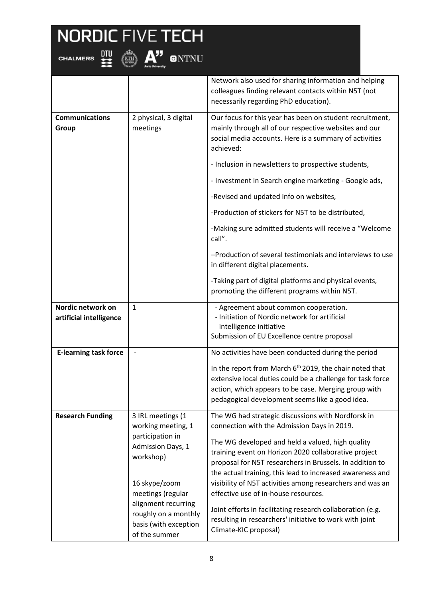

|                                              |                                                                                                                | Network also used for sharing information and helping<br>colleagues finding relevant contacts within N5T (not<br>necessarily regarding PhD education).                                                                                                                                                                                                                                              |
|----------------------------------------------|----------------------------------------------------------------------------------------------------------------|-----------------------------------------------------------------------------------------------------------------------------------------------------------------------------------------------------------------------------------------------------------------------------------------------------------------------------------------------------------------------------------------------------|
| <b>Communications</b><br>Group               | 2 physical, 3 digital<br>meetings                                                                              | Our focus for this year has been on student recruitment,<br>mainly through all of our respective websites and our<br>social media accounts. Here is a summary of activities<br>achieved:                                                                                                                                                                                                            |
|                                              |                                                                                                                | - Inclusion in newsletters to prospective students,                                                                                                                                                                                                                                                                                                                                                 |
|                                              |                                                                                                                | - Investment in Search engine marketing - Google ads,                                                                                                                                                                                                                                                                                                                                               |
|                                              |                                                                                                                | -Revised and updated info on websites,                                                                                                                                                                                                                                                                                                                                                              |
|                                              |                                                                                                                | -Production of stickers for N5T to be distributed,                                                                                                                                                                                                                                                                                                                                                  |
|                                              |                                                                                                                | -Making sure admitted students will receive a "Welcome<br>call".                                                                                                                                                                                                                                                                                                                                    |
|                                              |                                                                                                                | -Production of several testimonials and interviews to use<br>in different digital placements.                                                                                                                                                                                                                                                                                                       |
|                                              |                                                                                                                | -Taking part of digital platforms and physical events,<br>promoting the different programs within N5T.                                                                                                                                                                                                                                                                                              |
| Nordic network on<br>artificial intelligence | $\mathbf{1}$                                                                                                   | - Agreement about common cooperation.<br>- Initiation of Nordic network for artificial<br>intelligence initiative<br>Submission of EU Excellence centre proposal                                                                                                                                                                                                                                    |
| <b>E-learning task force</b>                 |                                                                                                                | No activities have been conducted during the period<br>In the report from March 6 <sup>th</sup> 2019, the chair noted that<br>extensive local duties could be a challenge for task force<br>action, which appears to be case. Merging group with<br>pedagogical development seems like a good idea.                                                                                                 |
| <b>Research Funding</b>                      | 3 IRL meetings (1<br>working meeting, 1<br>participation in<br>Admission Days, 1<br>workshop)<br>16 skype/zoom | The WG had strategic discussions with Nordforsk in<br>connection with the Admission Days in 2019.<br>The WG developed and held a valued, high quality<br>training event on Horizon 2020 collaborative project<br>proposal for N5T researchers in Brussels. In addition to<br>the actual training, this lead to increased awareness and<br>visibility of N5T activities among researchers and was an |
|                                              | meetings (regular<br>alignment recurring<br>roughly on a monthly<br>basis (with exception<br>of the summer     | effective use of in-house resources.<br>Joint efforts in facilitating research collaboration (e.g.<br>resulting in researchers' initiative to work with joint<br>Climate-KIC proposal)                                                                                                                                                                                                              |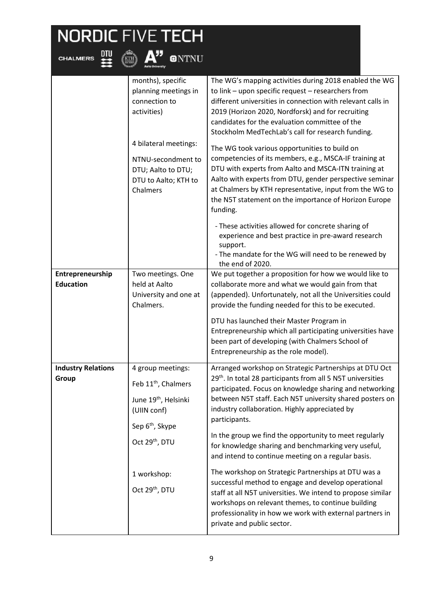**CHALMERS** 

 $\sum_{\text{KTH}}$   $\mathbf{A}^{\prime\prime}$ 

**ONTNU** 

months), specific planning meetings in connection to activities) 4 bilateral meetings: NTNU-secondment to DTU; Aalto to DTU; DTU to Aalto; KTH to Chalmers The WG's mapping activities during 2018 enabled the WG to link – upon specific request – researchers from different universities in connection with relevant calls in 2019 (Horizon 2020, Nordforsk) and for recruiting candidates for the evaluation committee of the Stockholm MedTechLab's call for research funding. The WG took various opportunities to build on competencies of its members, e.g., MSCA-IF training at DTU with experts from Aalto and MSCA-ITN training at Aalto with experts from DTU, gender perspective seminar at Chalmers by KTH representative, input from the WG to the N5T statement on the importance of Horizon Europe funding. - These activities allowed for concrete sharing of experience and best practice in pre-award research support. - The mandate for the WG will need to be renewed by the end of 2020. **Entrepreneurship Education** Two meetings. One held at Aalto University and one at Chalmers. We put together a proposition for how we would like to collaborate more and what we would gain from that (appended). Unfortunately, not all the Universities could provide the funding needed for this to be executed. DTU has launched their Master Program in Entrepreneurship which all participating universities have been part of developing (with Chalmers School of Entrepreneurship as the role model). **Industry Relations Group** 4 group meetings: Feb 11<sup>th</sup>, Chalmers June 19<sup>th</sup>, Helsinki (UIIN conf) Sep 6<sup>th</sup>, Skype Oct 29<sup>th</sup>, DTU Arranged workshop on Strategic Partnerships at DTU Oct 29<sup>th</sup>. In total 28 participants from all 5 N5T universities participated. Focus on knowledge sharing and networking between N5T staff. Each N5T university shared posters on industry collaboration. Highly appreciated by participants. In the group we find the opportunity to meet regularly for knowledge sharing and benchmarking very useful,

1 workshop: Oct 29<sup>th</sup>, DTU and intend to continue meeting on a regular basis. The workshop on Strategic Partnerships at DTU was a successful method to engage and develop operational staff at all N5T universities. We intend to propose similar workshops on relevant themes, to continue building professionality in how we work with external partners in private and public sector.